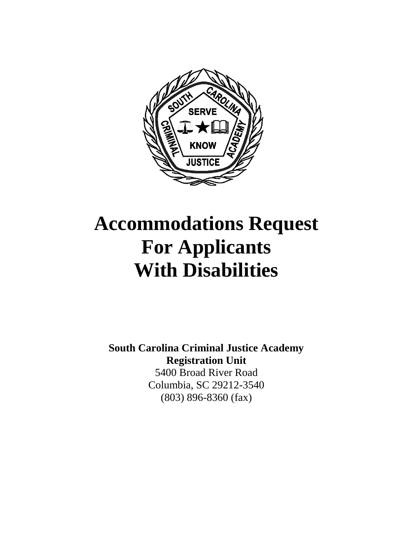

# **Accommodations Request For Applicants With Disabilities**

**South Carolina Criminal Justice Academy Registration Unit** 5400 Broad River Road Columbia, SC 29212-3540 (803) 896-8360 (fax)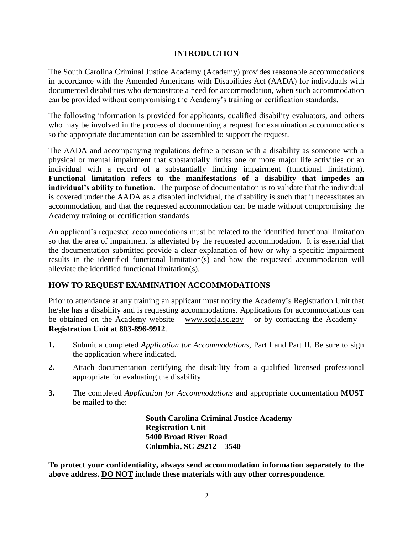### **INTRODUCTION**

The South Carolina Criminal Justice Academy (Academy) provides reasonable accommodations in accordance with the Amended Americans with Disabilities Act (AADA) for individuals with documented disabilities who demonstrate a need for accommodation, when such accommodation can be provided without compromising the Academy's training or certification standards.

The following information is provided for applicants, qualified disability evaluators, and others who may be involved in the process of documenting a request for examination accommodations so the appropriate documentation can be assembled to support the request.

The AADA and accompanying regulations define a person with a disability as someone with a physical or mental impairment that substantially limits one or more major life activities or an individual with a record of a substantially limiting impairment (functional limitation). **Functional limitation refers to the manifestations of a disability that impedes an individual's ability to function**. The purpose of documentation is to validate that the individual is covered under the AADA as a disabled individual, the disability is such that it necessitates an accommodation, and that the requested accommodation can be made without compromising the Academy training or certification standards.

An applicant's requested accommodations must be related to the identified functional limitation so that the area of impairment is alleviated by the requested accommodation. It is essential that the documentation submitted provide a clear explanation of how or why a specific impairment results in the identified functional limitation(s) and how the requested accommodation will alleviate the identified functional limitation(s).

## **HOW TO REQUEST EXAMINATION ACCOMMODATIONS**

Prior to attendance at any training an applicant must notify the Academy's Registration Unit that he/she has a disability and is requesting accommodations. Applications for accommodations can be obtained on the Academy website – [www.sccja.sc.gov](http://www.sccja.sc.gov/) – or by contacting the Academy **– Registration Unit at 803-896-9912**.

- **1.** Submit a completed *Application for Accommodations*, Part I and Part II. Be sure to sign the application where indicated.
- **2.** Attach documentation certifying the disability from a qualified licensed professional appropriate for evaluating the disability.
- **3.** The completed *Application for Accommodations* and appropriate documentation **MUST** be mailed to the:

**South Carolina Criminal Justice Academy Registration Unit 5400 Broad River Road Columbia, SC 29212 – 3540**

**To protect your confidentiality, always send accommodation information separately to the above address. DO NOT include these materials with any other correspondence.**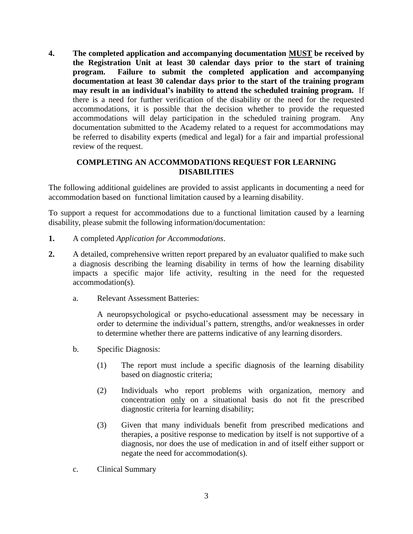**4. The completed application and accompanying documentation MUST be received by the Registration Unit at least 30 calendar days prior to the start of training program. Failure to submit the completed application and accompanying documentation at least 30 calendar days prior to the start of the training program may result in an individual's inability to attend the scheduled training program.** If there is a need for further verification of the disability or the need for the requested accommodations, it is possible that the decision whether to provide the requested accommodations will delay participation in the scheduled training program. Any documentation submitted to the Academy related to a request for accommodations may be referred to disability experts (medical and legal) for a fair and impartial professional review of the request.

### **COMPLETING AN ACCOMMODATIONS REQUEST FOR LEARNING DISABILITIES**

The following additional guidelines are provided to assist applicants in documenting a need for accommodation based on functional limitation caused by a learning disability.

To support a request for accommodations due to a functional limitation caused by a learning disability, please submit the following information/documentation:

- **1.** A completed *Application for Accommodations*.
- **2.** A detailed, comprehensive written report prepared by an evaluator qualified to make such a diagnosis describing the learning disability in terms of how the learning disability impacts a specific major life activity, resulting in the need for the requested accommodation(s).
	- a. Relevant Assessment Batteries:

A neuropsychological or psycho-educational assessment may be necessary in order to determine the individual's pattern, strengths, and/or weaknesses in order to determine whether there are patterns indicative of any learning disorders.

- b. Specific Diagnosis:
	- (1) The report must include a specific diagnosis of the learning disability based on diagnostic criteria;
	- (2) Individuals who report problems with organization, memory and concentration only on a situational basis do not fit the prescribed diagnostic criteria for learning disability;
	- (3) Given that many individuals benefit from prescribed medications and therapies, a positive response to medication by itself is not supportive of a diagnosis, nor does the use of medication in and of itself either support or negate the need for accommodation(s).
- c. Clinical Summary